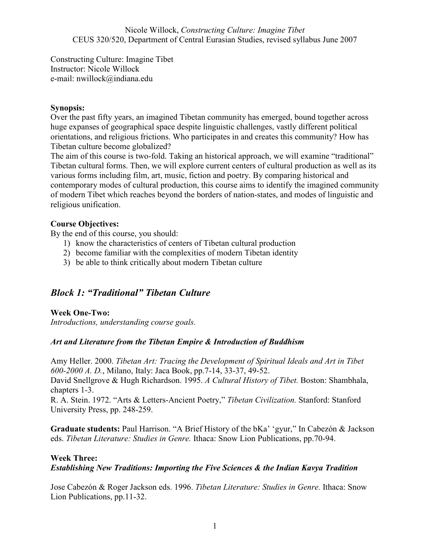Constructing Culture: Imagine Tibet Instructor: Nicole Willock e-mail: nwillock@indiana.edu

#### Synopsis:

Over the past fifty years, an imagined Tibetan community has emerged, bound together across huge expanses of geographical space despite linguistic challenges, vastly different political orientations, and religious frictions. Who participates in and creates this community? How has Tibetan culture become globalized?

The aim of this course is two-fold. Taking an historical approach, we will examine "traditional" Tibetan cultural forms. Then, we will explore current centers of cultural production as well as its various forms including film, art, music, fiction and poetry. By comparing historical and contemporary modes of cultural production, this course aims to identify the imagined community of modern Tibet which reaches beyond the borders of nation-states, and modes of linguistic and religious unification.

### Course Objectives:

By the end of this course, you should:

- 1) know the characteristics of centers of Tibetan cultural production
- 2) become familiar with the complexities of modern Tibetan identity
- 3) be able to think critically about modern Tibetan culture

# Block 1: "Traditional" Tibetan Culture

### Week One-Two:

Introductions, understanding course goals.

### Art and Literature from the Tibetan Empire & Introduction of Buddhism

Amy Heller. 2000. Tibetan Art: Tracing the Development of Spiritual Ideals and Art in Tibet 600-2000 A. D., Milano, Italy: Jaca Book, pp.7-14, 33-37, 49-52.

David Snellgrove & Hugh Richardson. 1995. A Cultural History of Tibet. Boston: Shambhala, chapters 1-3.

R. A. Stein. 1972. "Arts & Letters-Ancient Poetry," Tibetan Civilization. Stanford: Stanford University Press, pp. 248-259.

Graduate students: Paul Harrison. "A Brief History of the bKa' 'gyur," In Cabezón & Jackson eds. Tibetan Literature: Studies in Genre. Ithaca: Snow Lion Publications, pp.70-94.

#### Week Three:

### Establishing New Traditions: Importing the Five Sciences & the Indian Kavya Tradition

Jose Cabezón & Roger Jackson eds. 1996. Tibetan Literature: Studies in Genre. Ithaca: Snow Lion Publications, pp.11-32.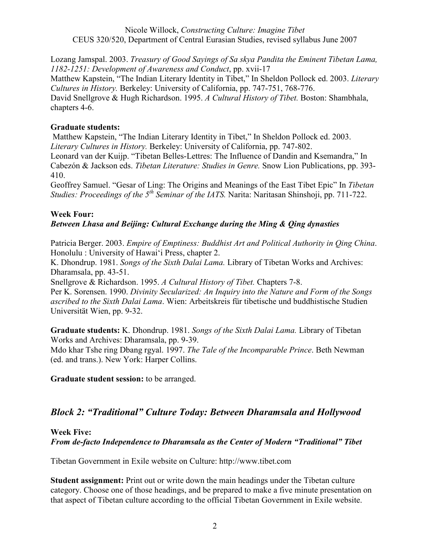Lozang Jamspal. 2003. Treasury of Good Sayings of Sa skya Pandita the Eminent Tibetan Lama, 1182-1251: Development of Awareness and Conduct, pp. xvii-17 Matthew Kapstein, "The Indian Literary Identity in Tibet," In Sheldon Pollock ed. 2003. Literary Cultures in History. Berkeley: University of California, pp. 747-751, 768-776. David Snellgrove & Hugh Richardson. 1995. A Cultural History of Tibet. Boston: Shambhala, chapters 4-6.

### Graduate students:

 Matthew Kapstein, "The Indian Literary Identity in Tibet," In Sheldon Pollock ed. 2003. Literary Cultures in History. Berkeley: University of California, pp. 747-802. Leonard van der Kuijp. "Tibetan Belles-Lettres: The Influence of Dandin and Ksemandra," In

Cabezón & Jackson eds. Tibetan Literature: Studies in Genre. Snow Lion Publications, pp. 393- 410.

Geoffrey Samuel. "Gesar of Ling: The Origins and Meanings of the East Tibet Epic" In Tibetan Studies: Proceedings of the  $5<sup>th</sup>$  Seminar of the IATS. Narita: Naritasan Shinshoji, pp. 711-722.

### Week Four:

### Between Lhasa and Beijing: Cultural Exchange during the Ming & Qing dynasties

Patricia Berger. 2003. Empire of Emptiness: Buddhist Art and Political Authority in Qing China. Honolulu : University of Hawai'i Press, chapter 2.

K. Dhondrup. 1981. Songs of the Sixth Dalai Lama. Library of Tibetan Works and Archives: Dharamsala, pp. 43-51.

Snellgrove & Richardson. 1995. A Cultural History of Tibet. Chapters 7-8.

Per K. Sorensen. 1990. Divinity Secularized: An Inquiry into the Nature and Form of the Songs ascribed to the Sixth Dalai Lama. Wien: Arbeitskreis für tibetische und buddhistische Studien Universität Wien, pp. 9-32.

Graduate students: K. Dhondrup. 1981. Songs of the Sixth Dalai Lama. Library of Tibetan Works and Archives: Dharamsala, pp. 9-39. Mdo khar Tshe ring Dbang rgyal. 1997. The Tale of the Incomparable Prince. Beth Newman (ed. and trans.). New York: Harper Collins.

Graduate student session: to be arranged.

# Block 2: "Traditional" Culture Today: Between Dharamsala and Hollywood

Week Five:

From de-facto Independence to Dharamsala as the Center of Modern "Traditional" Tibet

Tibetan Government in Exile website on Culture: http://www.tibet.com

Student assignment: Print out or write down the main headings under the Tibetan culture category. Choose one of those headings, and be prepared to make a five minute presentation on that aspect of Tibetan culture according to the official Tibetan Government in Exile website.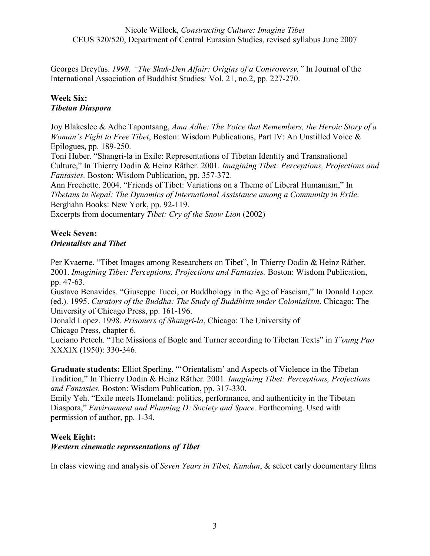Georges Dreyfus. 1998. "The Shuk-Den Affair: Origins of a Controversy," In Journal of the International Association of Buddhist Studies: Vol. 21, no.2, pp. 227-270.

### Week Six: Tibetan Diaspora

Joy Blakeslee & Adhe Tapontsang, Ama Adhe: The Voice that Remembers, the Heroic Story of a *Woman's Fight to Free Tibet, Boston: Wisdom Publications, Part IV: An Unstilled Voice*  $\&$ Epilogues, pp. 189-250.

Toni Huber. "Shangri-la in Exile: Representations of Tibetan Identity and Transnational Culture," In Thierry Dodin & Heinz Räther. 2001. Imagining Tibet: Perceptions, Projections and Fantasies. Boston: Wisdom Publication, pp. 357-372.

Ann Frechette. 2004. "Friends of Tibet: Variations on a Theme of Liberal Humanism," In Tibetans in Nepal: The Dynamics of International Assistance among a Community in Exile. Berghahn Books: New York, pp. 92-119.

Excerpts from documentary *Tibet: Cry of the Snow Lion* (2002)

### Week Seven: Orientalists and Tibet

Per Kvaerne. "Tibet Images among Researchers on Tibet", In Thierry Dodin & Heinz Räther. 2001. Imagining Tibet: Perceptions, Projections and Fantasies. Boston: Wisdom Publication, pp. 47-63.

Gustavo Benavides. "Giuseppe Tucci, or Buddhology in the Age of Fascism," In Donald Lopez (ed.). 1995. Curators of the Buddha: The Study of Buddhism under Colonialism. Chicago: The University of Chicago Press, pp. 161-196.

Donald Lopez. 1998. Prisoners of Shangri-la, Chicago: The University of

Chicago Press, chapter 6.

Luciano Petech. "The Missions of Bogle and Turner according to Tibetan Texts" in T'oung Pao XXXIX (1950): 330-346.

Graduate students: Elliot Sperling. "'Orientalism' and Aspects of Violence in the Tibetan Tradition," In Thierry Dodin & Heinz Räther. 2001. Imagining Tibet: Perceptions, Projections and Fantasies. Boston: Wisdom Publication, pp. 317-330.

Emily Yeh. "Exile meets Homeland: politics, performance, and authenticity in the Tibetan Diaspora," Environment and Planning D: Society and Space. Forthcoming. Used with permission of author, pp. 1-34.

### Week Eight:

### Western cinematic representations of Tibet

In class viewing and analysis of Seven Years in Tibet, Kundun, & select early documentary films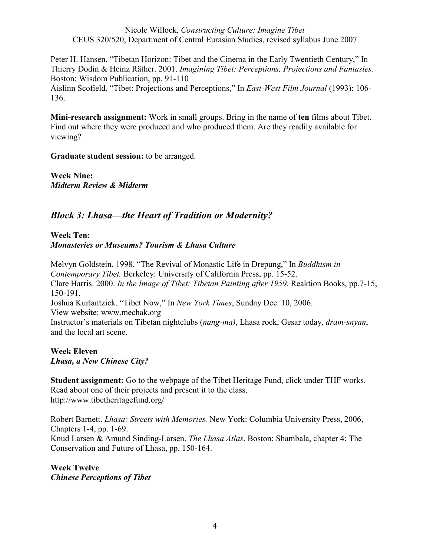Peter H. Hansen. "Tibetan Horizon: Tibet and the Cinema in the Early Twentieth Century," In Thierry Dodin & Heinz Räther. 2001. Imagining Tibet: Perceptions, Projections and Fantasies. Boston: Wisdom Publication, pp. 91-110

Aislinn Scofield, "Tibet: Projections and Perceptions," In East-West Film Journal (1993): 106- 136.

Mini-research assignment: Work in small groups. Bring in the name of ten films about Tibet. Find out where they were produced and who produced them. Are they readily available for viewing?

Graduate student session: to be arranged.

Week Nine: Midterm Review & Midterm

# Block 3: Lhasa—the Heart of Tradition or Modernity?

### Week Ten: Monasteries or Museums? Tourism & Lhasa Culture

Melvyn Goldstein. 1998. "The Revival of Monastic Life in Drepung," In Buddhism in Contemporary Tibet. Berkeley: University of California Press, pp. 15-52. Clare Harris. 2000. In the Image of Tibet: Tibetan Painting after 1959. Reaktion Books, pp.7-15, 150-191. Joshua Kurlantzick. "Tibet Now," In New York Times, Sunday Dec. 10, 2006. View website: www.mechak.org Instructor's materials on Tibetan nightclubs (nang-ma), Lhasa rock, Gesar today, dram-snyan, and the local art scene.

Week Eleven Lhasa, a New Chinese City?

Student assignment: Go to the webpage of the Tibet Heritage Fund, click under THF works. Read about one of their projects and present it to the class. http://www.tibetheritagefund.org/

Robert Barnett. Lhasa: Streets with Memories. New York: Columbia University Press, 2006, Chapters 1-4, pp. 1-69. Knud Larsen & Amund Sinding-Larsen. The Lhasa Atlas. Boston: Shambala, chapter 4: The Conservation and Future of Lhasa, pp. 150-164.

Week Twelve Chinese Perceptions of Tibet